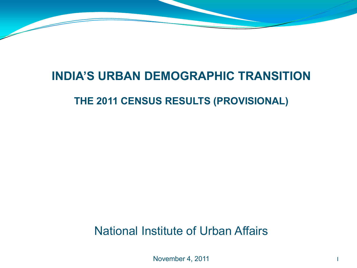### **INDIA'S URBAN DEMOGRAPHIC TRANSITION**

#### **THE 2011 CENSUS RESULTS (PROVISIONAL)**

National Institute of Urban Affairs

November 4, 2011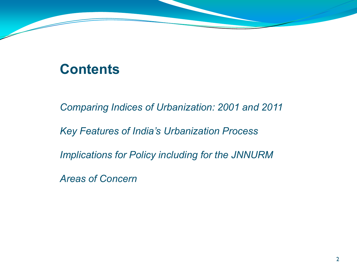## **Contents**

*Comparing Indices of Urbanization: 2001 and 2011*

*Key Features of India's Urbanization Process*

*Implications for Policy including for the JNNURM*

*Areas of Concern*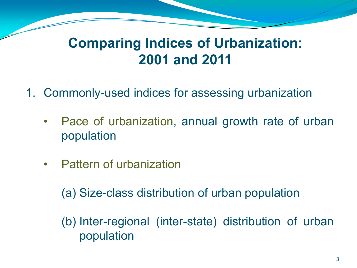## **Comparing Indices of Urbanization: 2001 and 2011**

- 1. Commonly-used indices for assessing urbanization
	- Pace of urbanization, annual growth rate of urban population
	- Pattern of urbanization

(a) Size-class distribution of urban population

(b) Inter-regional (inter-state) distribution of urban population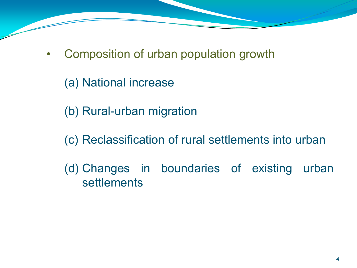- Composition of urban population growth
	- (a) National increase
	- (b) Rural-urban migration
	- (c) Reclassification of rural settlements into urban
	- (d) Changes in boundaries of existing urban settlements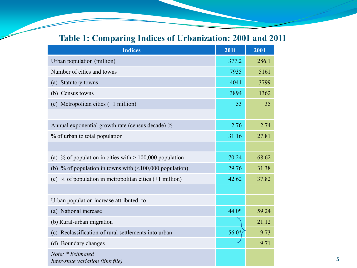#### **Table 1: Comparing Indices of Urbanization: 2001 and 2011**

| <b>Indices</b>                                                    | 2011    | 2001  |
|-------------------------------------------------------------------|---------|-------|
| Urban population (million)                                        | 377.2   | 286.1 |
| Number of cities and towns                                        | 7935    | 5161  |
| (a) Statutory towns                                               | 4041    | 3799  |
| (b) Census towns                                                  | 3894    | 1362  |
| (c) Metropolitan cities (+1 million)                              | 53      | 35    |
|                                                                   |         |       |
| Annual exponential growth rate (census decade) %                  | 2.76    | 2.74  |
| % of urban to total population                                    | 31.16   | 27.81 |
|                                                                   |         |       |
| (a) % of population in cities with $> 100,000$ population         | 70.24   | 68.62 |
| (b) % of population in towns with $($ <100,000 population)        | 29.76   | 31.38 |
| (c) % of population in metropolitan cities $(+1 \text{ million})$ | 42.62   | 37.82 |
|                                                                   |         |       |
| Urban population increase attributed to                           |         |       |
| (a) National increase                                             | $44.0*$ | 59.24 |
| (b) Rural-urban migration                                         |         | 21.12 |
| (c) Reclassification of rural settlements into urban              | $56.0*$ | 9.73  |
| (d) Boundary changes                                              |         | 9.71  |
| Note: * Estimated<br>Inter-state variation (link file)            |         |       |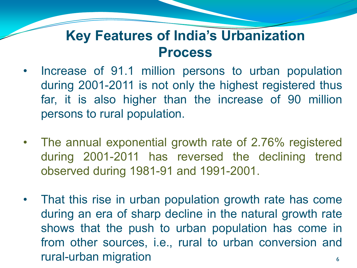## **Key Features of India's Urbanization Process**

- Increase of 91.1 million persons to urban population during 2001-2011 is not only the highest registered thus far, it is also higher than the increase of 90 million persons to rural population.
- The annual exponential growth rate of 2.76% registered during 2001-2011 has reversed the declining trend observed during 1981-91 and 1991-2001.
- That this rise in urban population growth rate has come during an era of sharp decline in the natural growth rate shows that the push to urban population has come in from other sources, i.e., rural to urban conversion and rural-urban migration 64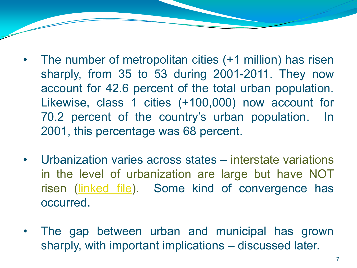- The number of metropolitan cities (+1 million) has risen sharply, from 35 to 53 during 2001-2011. They now account for 42.6 percent of the total urban population. Likewise, class 1 cities (+100,000) now account for 70.2 percent of the country's urban population. In 2001, this percentage was 68 percent.
- Urbanization varies across states interstate variations in the level of urbanization are large but have NOT risen ([linked](Indurbdemtrancen-link.docx) [file\)](Indurbdemtrancen-link.docx). Some kind of convergence has occurred.
- The gap between urban and municipal has grown sharply, with important implications – discussed later.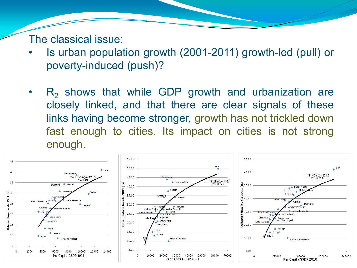The classical issue:

- Is urban population growth (2001-2011) growth-led (pull) or poverty-induced (push)?
- $R<sub>2</sub>$  shows that while GDP growth and urbanization are closely linked, and that there are clear signals of these links having become stronger, growth has not trickled down fast enough to cities. Its impact on cities is not strong enough.

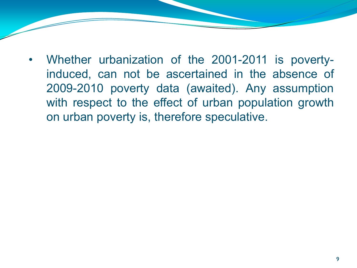• Whether urbanization of the 2001-2011 is povertyinduced, can not be ascertained in the absence of 2009-2010 poverty data (awaited). Any assumption with respect to the effect of urban population growth on urban poverty is, therefore speculative.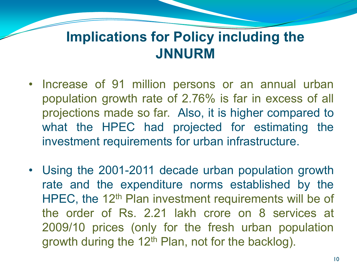## **Implications for Policy including the JNNURM**

- Increase of 91 million persons or an annual urban population growth rate of 2.76% is far in excess of all projections made so far. Also, it is higher compared to what the HPEC had projected for estimating the investment requirements for urban infrastructure.
- Using the 2001-2011 decade urban population growth rate and the expenditure norms established by the HPEC, the 12<sup>th</sup> Plan investment requirements will be of the order of Rs. 2.21 lakh crore on 8 services at 2009/10 prices (only for the fresh urban population growth during the 12<sup>th</sup> Plan, not for the backlog).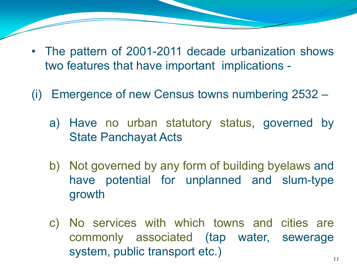- The pattern of 2001-2011 decade urbanization shows two features that have important implications -
- (i) Emergence of new Census towns numbering 2532
	- a) Have no urban statutory status, governed by State Panchayat Acts
	- b) Not governed by any form of building byelaws and have potential for unplanned and slum-type growth
	- c) No services with which towns and cities are commonly associated (tap water, sewerage system, public transport etc.)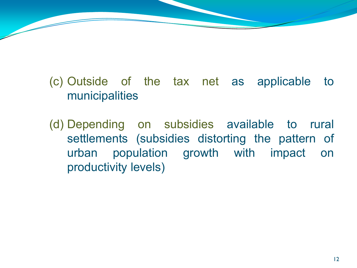(c) Outside of the tax net as applicable to municipalities

(d) Depending on subsidies available to rural settlements (subsidies distorting the pattern of urban population growth with impact on productivity levels)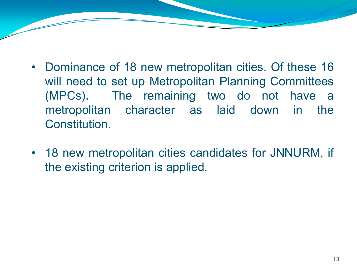- Dominance of 18 new metropolitan cities. Of these 16 will need to set up Metropolitan Planning Committees (MPCs). The remaining two do not have a metropolitan character as laid down in the Constitution.
- 18 new metropolitan cities candidates for JNNURM, if the existing criterion is applied.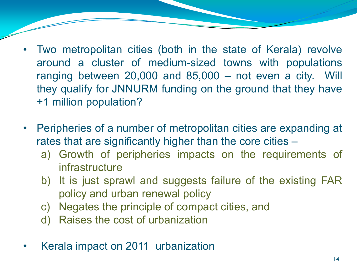- Two metropolitan cities (both in the state of Kerala) revolve around a cluster of medium-sized towns with populations ranging between 20,000 and 85,000 – not even a city. Will they qualify for JNNURM funding on the ground that they have +1 million population?
- Peripheries of a number of metropolitan cities are expanding at rates that are significantly higher than the core cities –
	- a) Growth of peripheries impacts on the requirements of infrastructure
	- b) It is just sprawl and suggests failure of the existing FAR policy and urban renewal policy
	- c) Negates the principle of compact cities, and
	- d) Raises the cost of urbanization
- Kerala impact on 2011 urbanization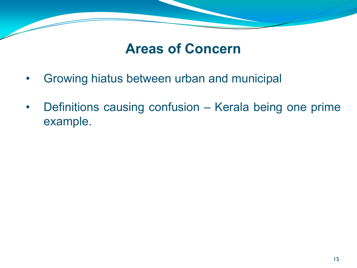## **Areas of Concern**

- Growing hiatus between urban and municipal
- Definitions causing confusion Kerala being one prime example.